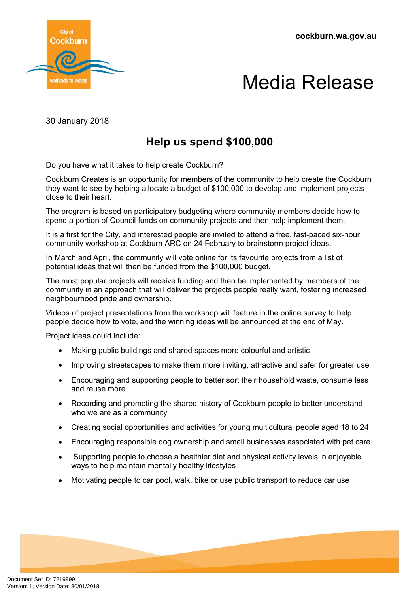**cockburn.wa.gov.au**





30 January 2018

## **Help us spend \$100,000**

Do you have what it takes to help create Cockburn?

Cockburn Creates is an opportunity for members of the community to help create the Cockburn they want to see by helping allocate a budget of \$100,000 to develop and implement projects close to their heart.

The program is based on participatory budgeting where community members decide how to spend a portion of Council funds on community projects and then help implement them.

It is a first for the City, and interested people are invited to attend a free, fast-paced six-hour community workshop at Cockburn ARC on 24 February to brainstorm project ideas.

In March and April, the community will vote online for its favourite projects from a list of potential ideas that will then be funded from the \$100,000 budget.

The most popular projects will receive funding and then be implemented by members of the community in an approach that will deliver the projects people really want, fostering increased neighbourhood pride and ownership.

Videos of project presentations from the workshop will feature in the online survey to help people decide how to vote, and the winning ideas will be announced at the end of May.

Project ideas could include:

- Making public buildings and shared spaces more colourful and artistic
- Improving streetscapes to make them more inviting, attractive and safer for greater use
- Encouraging and supporting people to better sort their household waste, consume less and reuse more
- Recording and promoting the shared history of Cockburn people to better understand who we are as a community
- Creating social opportunities and activities for young multicultural people aged 18 to 24
- Encouraging responsible dog ownership and small businesses associated with pet care
- Supporting people to choose a healthier diet and physical activity levels in enjoyable ways to help maintain mentally healthy lifestyles
- Motivating people to car pool, walk, bike or use public transport to reduce car use